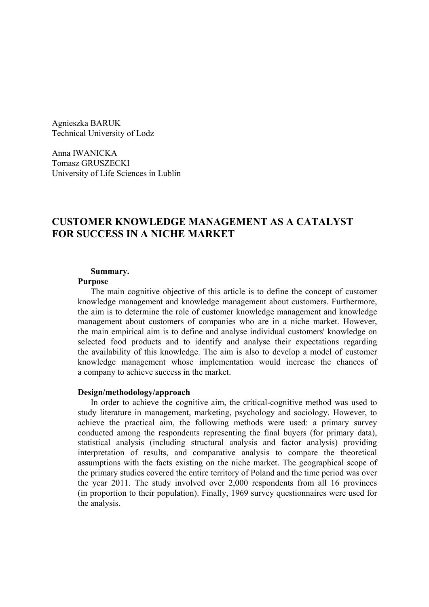Agnieszka BARUK Technical University of Lodz

Anna IWANICKA Tomasz GRUSZECKI University of Life Sciences in Lublin

# **CUSTOMER KNOWLEDGE MANAGEMENT AS A CATALYST FOR SUCCESS IN A NICHE MARKET**

#### **Summary.**

#### **Purpose**

The main cognitive objective of this article is to define the concept of customer knowledge management and knowledge management about customers. Furthermore, the aim is to determine the role of customer knowledge management and knowledge management about customers of companies who are in a niche market. However, the main empirical aim is to define and analyse individual customers' knowledge on selected food products and to identify and analyse their expectations regarding the availability of this knowledge. The aim is also to develop a model of customer knowledge management whose implementation would increase the chances of a company to achieve success in the market.

#### **Design/methodology/approach**

In order to achieve the cognitive aim, the critical-cognitive method was used to study literature in management, marketing, psychology and sociology. However, to achieve the practical aim, the following methods were used: a primary survey conducted among the respondents representing the final buyers (for primary data), statistical analysis (including structural analysis and factor analysis) providing interpretation of results, and comparative analysis to compare the theoretical assumptions with the facts existing on the niche market. The geographical scope of the primary studies covered the entire territory of Poland and the time period was over the year 2011. The study involved over 2,000 respondents from all 16 provinces (in proportion to their population). Finally, 1969 survey questionnaires were used for the analysis.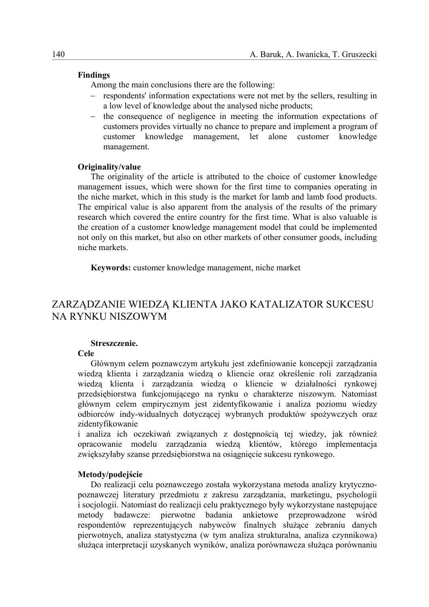#### **Findings**

Among the main conclusions there are the following:

- − respondents' information expectations were not met by the sellers, resulting in a low level of knowledge about the analysed niche products;
- − the consequence of negligence in meeting the information expectations of customers provides virtually no chance to prepare and implement a program of customer knowledge management, let alone customer knowledge management.

#### **Originality/value**

The originality of the article is attributed to the choice of customer knowledge management issues, which were shown for the first time to companies operating in the niche market, which in this study is the market for lamb and lamb food products. The empirical value is also apparent from the analysis of the results of the primary research which covered the entire country for the first time. What is also valuable is the creation of a customer knowledge management model that could be implemented not only on this market, but also on other markets of other consumer goods, including niche markets.

**Keywords:** customer knowledge management, niche market

# ZARZĄDZANIE WIEDZĄ KLIENTA JAKO KATALIZATOR SUKCESU NA RYNKU NISZOWYM

### **Streszczenie.**

## **Cele**

Głównym celem poznawczym artykułu jest zdefiniowanie koncepcji zarządzania wiedzą klienta i zarządzania wiedzą o kliencie oraz określenie roli zarządzania wiedzą klienta i zarządzania wiedzą o kliencie w działalności rynkowej przedsiębiorstwa funkcjonującego na rynku o charakterze niszowym. Natomiast głównym celem empirycznym jest zidentyfikowanie i analiza poziomu wiedzy odbiorców indy-widualnych dotyczącej wybranych produktów spożywczych oraz zidentyfikowanie

i analiza ich oczekiwań związanych z dostępnością tej wiedzy, jak również opracowanie modelu zarządzania wiedzą klientów, którego implementacja zwiększyłaby szanse przedsiębiorstwa na osiągnięcie sukcesu rynkowego.

#### **Metody/podejście**

Do realizacji celu poznawczego została wykorzystana metoda analizy krytycznopoznawczej literatury przedmiotu z zakresu zarządzania, marketingu, psychologii i socjologii. Natomiast do realizacji celu praktycznego były wykorzystane następujące metody badawcze: pierwotne badania ankietowe przeprowadzone wśród respondentów reprezentujących nabywców finalnych służące zebraniu danych pierwotnych, analiza statystyczna (w tym analiza strukturalna, analiza czynnikowa) służąca interpretacji uzyskanych wyników, analiza porównawcza służąca porównaniu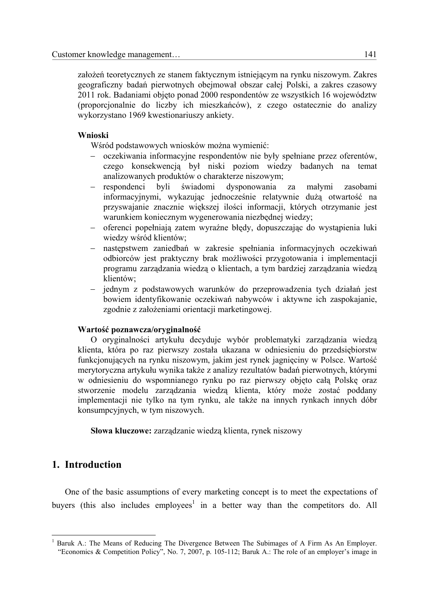założeń teoretycznych ze stanem faktycznym istniejącym na rynku niszowym. Zakres geograficzny badań pierwotnych obejmował obszar całej Polski, a zakres czasowy 2011 rok. Badaniami objęto ponad 2000 respondentów ze wszystkich 16 województw (proporcjonalnie do liczby ich mieszkańców), z czego ostatecznie do analizy wykorzystano 1969 kwestionariuszy ankiety.

### **Wnioski**

Wśród podstawowych wniosków można wymienić:

- − oczekiwania informacyjne respondentów nie były spełniane przez oferentów, czego konsekwencją był niski poziom wiedzy badanych na temat analizowanych produktów o charakterze niszowym;
- − respondenci byli świadomi dysponowania za małymi zasobami informacyjnymi, wykazując jednocześnie relatywnie dużą otwartość na przyswajanie znacznie większej ilości informacji, których otrzymanie jest warunkiem koniecznym wygenerowania niezbędnej wiedzy;
- − oferenci popełniają zatem wyraźne błędy, dopuszczając do wystąpienia luki wiedzy wśród klientów;
- − następstwem zaniedbań w zakresie spełniania informacyjnych oczekiwań odbiorców jest praktyczny brak możliwości przygotowania i implementacji programu zarządzania wiedzą o klientach, a tym bardziej zarządzania wiedzą klientów;
- − jednym z podstawowych warunków do przeprowadzenia tych działań jest bowiem identyfikowanie oczekiwań nabywców i aktywne ich zaspokajanie, zgodnie z założeniami orientacji marketingowej.

### **Wartość poznawcza/oryginalność**

O oryginalności artykułu decyduje wybór problematyki zarządzania wiedzą klienta, która po raz pierwszy została ukazana w odniesieniu do przedsiębiorstw funkcjonujących na rynku niszowym, jakim jest rynek jagnięciny w Polsce. Wartość merytoryczna artykułu wynika także z analizy rezultatów badań pierwotnych, którymi w odniesieniu do wspomnianego rynku po raz pierwszy objęto całą Polskę oraz stworzenie modelu zarządzania wiedzą klienta, który może zostać poddany implementacji nie tylko na tym rynku, ale także na innych rynkach innych dóbr konsumpcyjnych, w tym niszowych.

**Słowa kluczowe:** zarządzanie wiedzą klienta, rynek niszowy

## **1. Introduction**

1

One of the basic assumptions of every marketing concept is to meet the expectations of buyers (this also includes employees<sup>1</sup> in a better way than the competitors do. All

<sup>1</sup> Baruk A.: The Means of Reducing The Divergence Between The Subimages of A Firm As An Employer. "Economics & Competition Policy", No. 7, 2007, p. 105-112; Baruk A.: The role of an employer's image in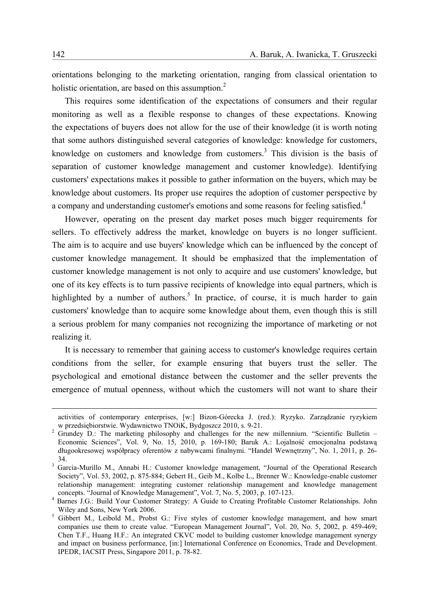orientations belonging to the marketing orientation, ranging from classical orientation to holistic orientation, are based on this assumption.<sup>2</sup>

This requires some identification of the expectations of consumers and their regular monitoring as well as a flexible response to changes of these expectations. Knowing the expectations of buyers does not allow for the use of their knowledge (it is worth noting that some authors distinguished several categories of knowledge: knowledge for customers, knowledge on customers and knowledge from customers.<sup>3</sup> This division is the basis of separation of customer knowledge management and customer knowledge). Identifying customers' expectations makes it possible to gather information on the buyers, which may be knowledge about customers. Its proper use requires the adoption of customer perspective by a company and understanding customer's emotions and some reasons for feeling satisfied.<sup>4</sup>

However, operating on the present day market poses much bigger requirements for sellers. To effectively address the market, knowledge on buyers is no longer sufficient. The aim is to acquire and use buyers' knowledge which can be influenced by the concept of customer knowledge management. It should be emphasized that the implementation of customer knowledge management is not only to acquire and use customers' knowledge, but one of its key effects is to turn passive recipients of knowledge into equal partners, which is highlighted by a number of authors.<sup>5</sup> In practice, of course, it is much harder to gain customers' knowledge than to acquire some knowledge about them, even though this is still a serious problem for many companies not recognizing the importance of marketing or not realizing it.

It is necessary to remember that gaining access to customer's knowledge requires certain conditions from the seller, for example ensuring that buyers trust the seller. The psychological and emotional distance between the customer and the seller prevents the emergence of mutual openness, without which the customers will not want to share their

activities of contemporary enterprises, [w:] Bizon-Górecka J. (red.): Ryzyko. Zarządzanie ryzykiem<br>w przedsiebiorstwie. Wydawnictwo TNOiK. Bydgoszcz 2010. s. 9-21. w przedsiębiorstwie. Wydawnictwo TNOiK, Bydgoszcz 2010, s. 9-21.<br><sup>2</sup> Grundey D.: The marketing philosophy and challenges for the new millennium. "Scientific Bulletin –

Economic Sciences", Vol. 9, No. 15, 2010, p. 169-180; Baruk A.: Lojalność emocjonalna podstawą długookresowej współpracy oferentów z nabywcami finalnymi. "Handel Wewnętrzny", No. 1, 2011, p. 26-

<sup>34. 3</sup> Garcia-Murillo M., Annabi H.: Customer knowledge management, "Journal of the Operational Research Society", Vol. 53, 2002, p. 875-884; Gebert H., Geib M., Kolbe L., Brenner W.: Knowledge-enable customer relationship management: integrating customer relationship management and knowledge management concepts. "Journal of Knowledge Management", Vol. 7, No. 5, 2003, p. 107-123. 4

<sup>&</sup>lt;sup>4</sup> Barnes J.G.: Build Your Customer Strategy: A Guide to Creating Profitable Customer Relationships. John<br>Wilev and Sons. New York 2006. Wiley and Sons, New York 2006.<br><sup>5</sup> Gibbert M., Leibold M., Probst G.: Five styles of customer knowledge management, and how smart

companies use them to create value. "European Management Journal", Vol. 20, No. 5, 2002, p. 459-469; Chen T.F., Huang H.F.: An integrated CKVC model to building customer knowledge management synergy and impact on business performance, [in:] International Conference on Economics, Trade and Development. IPEDR, IACSIT Press, Singapore 2011, p. 78-82.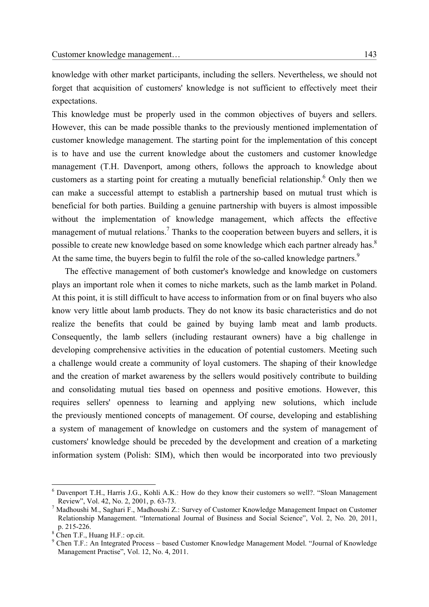knowledge with other market participants, including the sellers. Nevertheless, we should not forget that acquisition of customers' knowledge is not sufficient to effectively meet their expectations.

This knowledge must be properly used in the common objectives of buyers and sellers. However, this can be made possible thanks to the previously mentioned implementation of customer knowledge management. The starting point for the implementation of this concept is to have and use the current knowledge about the customers and customer knowledge management (T.H. Davenport, among others, follows the approach to knowledge about customers as a starting point for creating a mutually beneficial relationship.<sup>6</sup> Only then we can make a successful attempt to establish a partnership based on mutual trust which is beneficial for both parties. Building a genuine partnership with buyers is almost impossible without the implementation of knowledge management, which affects the effective management of mutual relations.<sup>7</sup> Thanks to the cooperation between buyers and sellers, it is possible to create new knowledge based on some knowledge which each partner already has.<sup>8</sup> At the same time, the buyers begin to fulfil the role of the so-called knowledge partners.<sup>9</sup>

The effective management of both customer's knowledge and knowledge on customers plays an important role when it comes to niche markets, such as the lamb market in Poland. At this point, it is still difficult to have access to information from or on final buyers who also know very little about lamb products. They do not know its basic characteristics and do not realize the benefits that could be gained by buying lamb meat and lamb products. Consequently, the lamb sellers (including restaurant owners) have a big challenge in developing comprehensive activities in the education of potential customers. Meeting such a challenge would create a community of loyal customers. The shaping of their knowledge and the creation of market awareness by the sellers would positively contribute to building and consolidating mutual ties based on openness and positive emotions. However, this requires sellers' openness to learning and applying new solutions, which include the previously mentioned concepts of management. Of course, developing and establishing a system of management of knowledge on customers and the system of management of customers' knowledge should be preceded by the development and creation of a marketing information system (Polish: SIM), which then would be incorporated into two previously

<sup>6</sup> Davenport T.H., Harris J.G., Kohli A.K.: How do they know their customers so well?. "Sloan Management Review", Vol. 42, No. 2, 2001, p. 63-73.

<sup>&</sup>lt;sup>7</sup> Madhoushi M., Saghari F., Madhoushi Z.: Survey of Customer Knowledge Management Impact on Customer Relationship Management. "International Journal of Business and Social Science", Vol. 2, No. 20, 2011, p. 215-226.<br><sup>8</sup> Chen T.F., Huang H.F.: op.cit.

<sup>9</sup> Chen T.F.: An Integrated Process – based Customer Knowledge Management Model. "Journal of Knowledge Management Practise", Vol. 12, No. 4, 2011.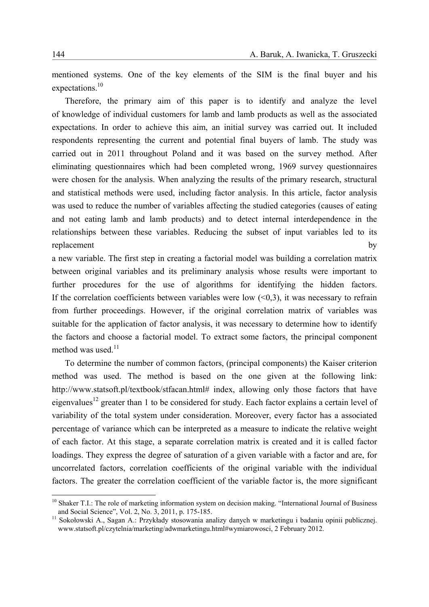mentioned systems. One of the key elements of the SIM is the final buyer and his expectations.<sup>10</sup>

Therefore, the primary aim of this paper is to identify and analyze the level of knowledge of individual customers for lamb and lamb products as well as the associated expectations. In order to achieve this aim, an initial survey was carried out. It included respondents representing the current and potential final buyers of lamb. The study was carried out in 2011 throughout Poland and it was based on the survey method. After eliminating questionnaires which had been completed wrong, 1969 survey questionnaires were chosen for the analysis. When analyzing the results of the primary research, structural and statistical methods were used, including factor analysis. In this article, factor analysis was used to reduce the number of variables affecting the studied categories (causes of eating and not eating lamb and lamb products) and to detect internal interdependence in the relationships between these variables. Reducing the subset of input variables led to its replacement by

a new variable. The first step in creating a factorial model was building a correlation matrix between original variables and its preliminary analysis whose results were important to further procedures for the use of algorithms for identifying the hidden factors. If the correlation coefficients between variables were low  $(< 0.3$ ), it was necessary to refrain from further proceedings. However, if the original correlation matrix of variables was suitable for the application of factor analysis, it was necessary to determine how to identify the factors and choose a factorial model. To extract some factors, the principal component method was used. $11$ 

To determine the number of common factors, (principal components) the Kaiser criterion method was used. The method is based on the one given at the following link: http://www.statsoft.pl/textbook/stfacan.html# index, allowing only those factors that have eigenvalues<sup>12</sup> greater than 1 to be considered for study. Each factor explains a certain level of variability of the total system under consideration. Moreover, every factor has a associated percentage of variance which can be interpreted as a measure to indicate the relative weight of each factor. At this stage, a separate correlation matrix is created and it is called factor loadings. They express the degree of saturation of a given variable with a factor and are, for uncorrelated factors, correlation coefficients of the original variable with the individual factors. The greater the correlation coefficient of the variable factor is, the more significant

<sup>&</sup>lt;sup>10</sup> Shaker T.I.: The role of marketing information system on decision making. "International Journal of Business and Social Science". Vol. 2, No. 3, 2011, p. 175-185.

<sup>&</sup>lt;sup>11</sup> Sokołowski A., Sagan A.: Przykłady stosowania analizy danych w marketingu i badaniu opinii publicznej. www.statsoft.pl/czytelnia/marketing/adwmarketingu.html#wymiarowosci, 2 February 2012.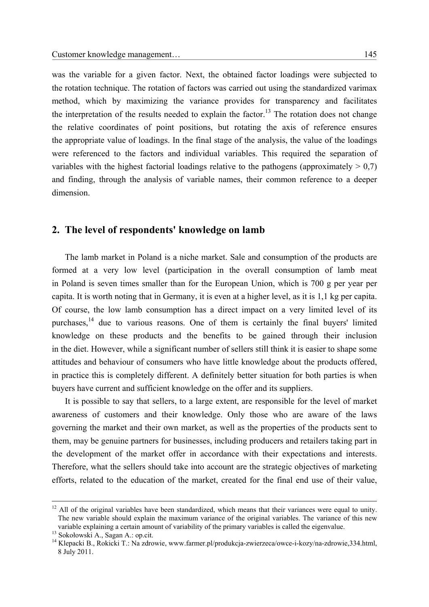was the variable for a given factor. Next, the obtained factor loadings were subjected to the rotation technique. The rotation of factors was carried out using the standardized varimax method, which by maximizing the variance provides for transparency and facilitates the interpretation of the results needed to explain the factor.<sup>13</sup> The rotation does not change the relative coordinates of point positions, but rotating the axis of reference ensures the appropriate value of loadings. In the final stage of the analysis, the value of the loadings were referenced to the factors and individual variables. This required the separation of variables with the highest factorial loadings relative to the pathogens (approximately  $> 0.7$ ) and finding, through the analysis of variable names, their common reference to a deeper dimension.

### **2. The level of respondents' knowledge on lamb**

The lamb market in Poland is a niche market. Sale and consumption of the products are formed at a very low level (participation in the overall consumption of lamb meat in Poland is seven times smaller than for the European Union, which is 700 g per year per capita. It is worth noting that in Germany, it is even at a higher level, as it is 1,1 kg per capita. Of course, the low lamb consumption has a direct impact on a very limited level of its purchases, $14$  due to various reasons. One of them is certainly the final buyers' limited knowledge on these products and the benefits to be gained through their inclusion in the diet. However, while a significant number of sellers still think it is easier to shape some attitudes and behaviour of consumers who have little knowledge about the products offered, in practice this is completely different. A definitely better situation for both parties is when buyers have current and sufficient knowledge on the offer and its suppliers.

It is possible to say that sellers, to a large extent, are responsible for the level of market awareness of customers and their knowledge. Only those who are aware of the laws governing the market and their own market, as well as the properties of the products sent to them, may be genuine partners for businesses, including producers and retailers taking part in the development of the market offer in accordance with their expectations and interests. Therefore, what the sellers should take into account are the strategic objectives of marketing efforts, related to the education of the market, created for the final end use of their value,

<sup>&</sup>lt;sup>12</sup> All of the original variables have been standardized, which means that their variances were equal to unity. The new variable should explain the maximum variance of the original variables. The variance of this new variable explaining a certain amount of variability of the primary variables is called the eigenvalue.<br><sup>13</sup> Sokołowski A., Sagan A.: op.cit.<br><sup>14</sup> Klepacki B., Rokicki T.: Na zdrowie, www.farmer.pl/produkcja-zwierzeca/owce-

<sup>8</sup> July 2011.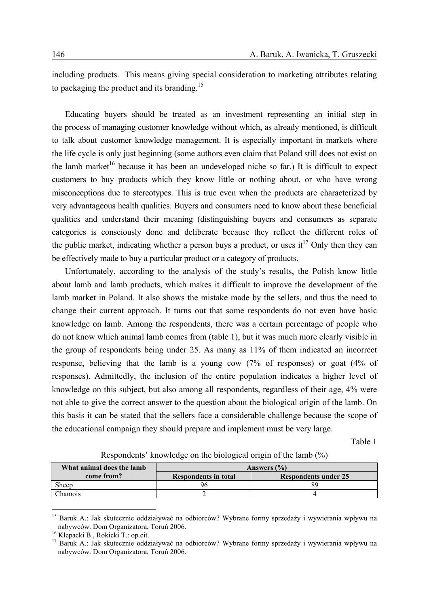including products. This means giving special consideration to marketing attributes relating to packaging the product and its branding.<sup>15</sup>

Educating buyers should be treated as an investment representing an initial step in the process of managing customer knowledge without which, as already mentioned, is difficult to talk about customer knowledge management. It is especially important in markets where the life cycle is only just beginning (some authors even claim that Poland still does not exist on the lamb market<sup>16</sup> because it has been an undeveloped niche so far.) It is difficult to expect customers to buy products which they know little or nothing about, or who have wrong misconceptions due to stereotypes. This is true even when the products are characterized by very advantageous health qualities. Buyers and consumers need to know about these beneficial qualities and understand their meaning (distinguishing buyers and consumers as separate categories is consciously done and deliberate because they reflect the different roles of the public market, indicating whether a person buys a product, or uses  $it^{17}$  Only then they can be effectively made to buy a particular product or a category of products.

Unfortunately, according to the analysis of the study's results, the Polish know little about lamb and lamb products, which makes it difficult to improve the development of the lamb market in Poland. It also shows the mistake made by the sellers, and thus the need to change their current approach. It turns out that some respondents do not even have basic knowledge on lamb. Among the respondents, there was a certain percentage of people who do not know which animal lamb comes from (table 1), but it was much more clearly visible in the group of respondents being under 25. As many as 11% of them indicated an incorrect response, believing that the lamb is a young cow (7% of responses) or goat (4% of responses). Admittedly, the inclusion of the entire population indicates a higher level of knowledge on this subject, but also among all respondents, regardless of their age, 4% were not able to give the correct answer to the question about the biological origin of the lamb. On this basis it can be stated that the sellers face a considerable challenge because the scope of the educational campaign they should prepare and implement must be very large.

Table 1

| What animal does the lamb | Answers $(\% )$             |                             |  |  |
|---------------------------|-----------------------------|-----------------------------|--|--|
| come from?                | <b>Respondents in total</b> | <b>Respondents under 25</b> |  |  |
| Sheep                     |                             |                             |  |  |
| <i>Chamois</i>            |                             |                             |  |  |

Respondents' knowledge on the biological origin of the lamb (%)

<u>.</u>

<sup>&</sup>lt;sup>15</sup> Baruk A.: Jak skutecznie oddziaływać na odbiorców? Wybrane formy sprzedaży i wywierania wpływu na nabywców. Dom Organizatora, Toruń 2006. 16 Klepacki B., Rokicki T.: op.cit.

<sup>17</sup> Baruk A.: Jak skutecznie oddziaływać na odbiorców? Wybrane formy sprzedaży i wywierania wpływu na nabywców. Dom Organizatora, Toruń 2006.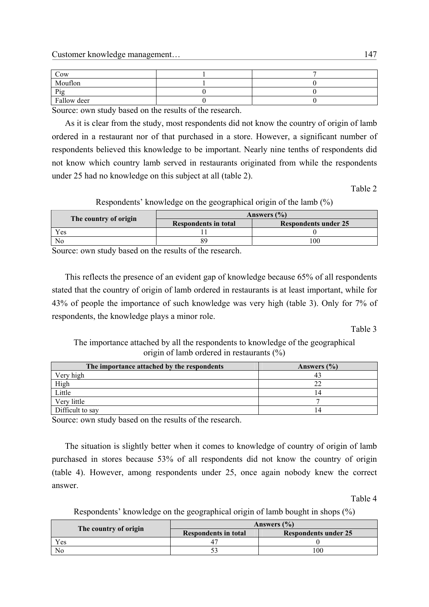| Cow         |  |
|-------------|--|
| Mouflon     |  |
| Pig         |  |
| Fallow deer |  |

Source: own study based on the results of the research.

As it is clear from the study, most respondents did not know the country of origin of lamb ordered in a restaurant nor of that purchased in a store. However, a significant number of respondents believed this knowledge to be important. Nearly nine tenths of respondents did not know which country lamb served in restaurants originated from while the respondents under 25 had no knowledge on this subject at all (table 2).

Table 2

Respondents' knowledge on the geographical origin of the lamb (%)

|                       | Answers $(\% )$             |                             |  |  |
|-----------------------|-----------------------------|-----------------------------|--|--|
| The country of origin | <b>Respondents in total</b> | <b>Respondents under 25</b> |  |  |
| Yes                   |                             |                             |  |  |
| No                    |                             | 100                         |  |  |
| __                    | - -                         |                             |  |  |

Source: own study based on the results of the research.

This reflects the presence of an evident gap of knowledge because 65% of all respondents stated that the country of origin of lamb ordered in restaurants is at least important, while for 43% of people the importance of such knowledge was very high (table 3). Only for 7% of respondents, the knowledge plays a minor role.

Table 3

The importance attached by all the respondents to knowledge of the geographical origin of lamb ordered in restaurants (%)

| The importance attached by the respondents | Answers $(\% )$ |  |  |
|--------------------------------------------|-----------------|--|--|
| Very high                                  |                 |  |  |
| High                                       |                 |  |  |
| Little                                     |                 |  |  |
| Very little                                |                 |  |  |
| Difficult to say                           |                 |  |  |

Source: own study based on the results of the research.

The situation is slightly better when it comes to knowledge of country of origin of lamb purchased in stores because 53% of all respondents did not know the country of origin (table 4). However, among respondents under 25, once again nobody knew the correct answer.

Table 4

Respondents' knowledge on the geographical origin of lamb bought in shops (%)

|                       | Answers $(\% )$             |                             |  |  |
|-----------------------|-----------------------------|-----------------------------|--|--|
| The country of origin | <b>Respondents in total</b> | <b>Respondents under 25</b> |  |  |
| Yes                   |                             |                             |  |  |
|                       |                             | '00                         |  |  |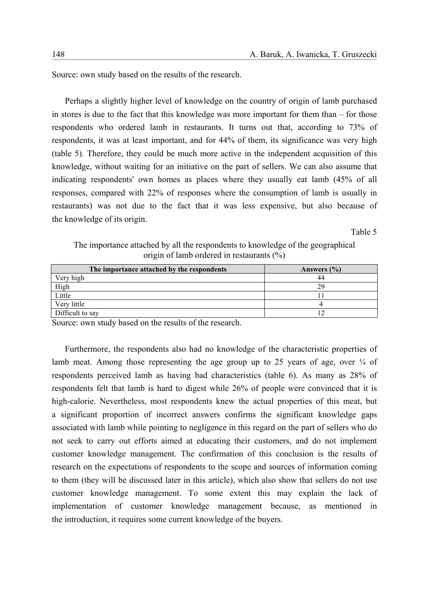Source: own study based on the results of the research.

Perhaps a slightly higher level of knowledge on the country of origin of lamb purchased in stores is due to the fact that this knowledge was more important for them than – for those respondents who ordered lamb in restaurants. It turns out that, according to 73% of respondents, it was at least important, and for 44% of them, its significance was very high (table 5). Therefore, they could be much more active in the independent acquisition of this knowledge, without waiting for an initiative on the part of sellers. We can also assume that indicating respondents' own homes as places where they usually eat lamb (45% of all responses, compared with 22% of responses where the consumption of lamb is usually in restaurants) was not due to the fact that it was less expensive, but also because of the knowledge of its origin.

Table 5

The importance attached by all the respondents to knowledge of the geographical origin of lamb ordered in restaurants (%)

| The importance attached by the respondents | Answers $(\% )$ |
|--------------------------------------------|-----------------|
| Very high                                  |                 |
| High                                       | 29              |
| Little                                     |                 |
| Very little                                |                 |
| Difficult to say                           |                 |

Source: own study based on the results of the research.

Furthermore, the respondents also had no knowledge of the characteristic properties of lamb meat. Among those representing the age group up to 25 years of age, over  $\frac{1}{4}$  of respondents perceived lamb as having bad characteristics (table 6). As many as 28% of respondents felt that lamb is hard to digest while 26% of people were convinced that it is high-calorie. Nevertheless, most respondents knew the actual properties of this meat, but a significant proportion of incorrect answers confirms the significant knowledge gaps associated with lamb while pointing to negligence in this regard on the part of sellers who do not seek to carry out efforts aimed at educating their customers, and do not implement customer knowledge management. The confirmation of this conclusion is the results of research on the expectations of respondents to the scope and sources of information coming to them (they will be discussed later in this article), which also show that sellers do not use customer knowledge management. To some extent this may explain the lack of implementation of customer knowledge management because, as mentioned in the introduction, it requires some current knowledge of the buyers.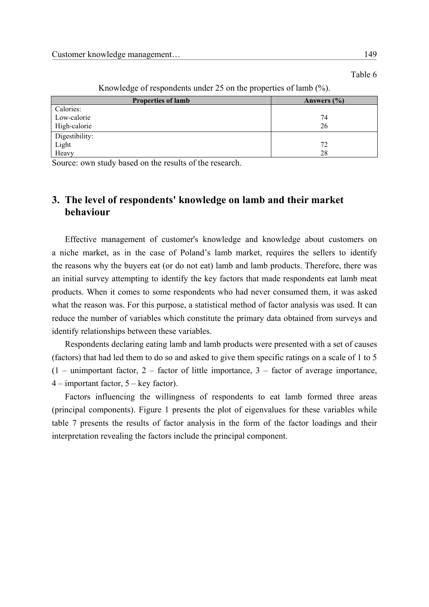Table 6

| <b>Properties of lamb</b> | Answers (%) |
|---------------------------|-------------|
| Calories:                 |             |
| Low-calorie               | 74          |
| High-calorie              | 26          |
| Digestibility:            |             |
| Light                     | 72          |
| Heavy                     | 28          |

Knowledge of respondents under 25 on the properties of lamb (%).

Source: own study based on the results of the research.

## **3. The level of respondents' knowledge on lamb and their market behaviour**

Effective management of customer's knowledge and knowledge about customers on a niche market, as in the case of Poland's lamb market, requires the sellers to identify the reasons why the buyers eat (or do not eat) lamb and lamb products. Therefore, there was an initial survey attempting to identify the key factors that made respondents eat lamb meat products. When it comes to some respondents who had never consumed them, it was asked what the reason was. For this purpose, a statistical method of factor analysis was used. It can reduce the number of variables which constitute the primary data obtained from surveys and identify relationships between these variables.

Respondents declaring eating lamb and lamb products were presented with a set of causes (factors) that had led them to do so and asked to give them specific ratings on a scale of 1 to 5  $(1 -$  unimportant factor,  $2 -$  factor of little importance,  $3 -$  factor of average importance, 4 – important factor, 5 – key factor).

Factors influencing the willingness of respondents to eat lamb formed three areas (principal components). Figure 1 presents the plot of eigenvalues for these variables while table 7 presents the results of factor analysis in the form of the factor loadings and their interpretation revealing the factors include the principal component.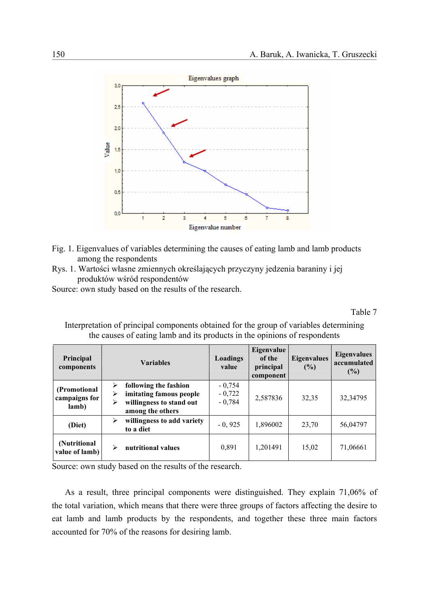

- Fig. 1. Eigenvalues of variables determining the causes of eating lamb and lamb products among the respondents
- Rys. 1. Wartości własne zmiennych określających przyczyny jedzenia baraniny i jej produktów wśród respondentów

Source: own study based on the results of the research.

Table 7

| Principal<br>components                |             | <b>Variables</b>                                                                                 | Loadings<br>value                | Eigenvalue<br>of the<br>principal<br>component | <b>Eigenvalues</b><br>(%) | <b>Eigenvalues</b><br>accumulated<br>$(\%)$ |
|----------------------------------------|-------------|--------------------------------------------------------------------------------------------------|----------------------------------|------------------------------------------------|---------------------------|---------------------------------------------|
| (Promotional<br>campaigns for<br>lamb) | ⋗<br>⋗<br>⋗ | following the fashion<br>imitating famous people<br>willingness to stand out<br>among the others | $-0,754$<br>$-0,722$<br>$-0,784$ | 2,587836                                       | 32,35                     | 32,34795                                    |
| (Diet)                                 | ⋗           | willingness to add variety<br>to a diet                                                          | $-0,925$                         | 1,896002                                       | 23,70                     | 56,04797                                    |
| (Nutritional<br>value of lamb)         | ⋗           | nutritional values                                                                               | 0,891                            | 1,201491                                       | 15,02                     | 71,06661                                    |

Interpretation of principal components obtained for the group of variables determining the causes of eating lamb and its products in the opinions of respondents

Source: own study based on the results of the research.

As a result, three principal components were distinguished. They explain 71,06% of the total variation, which means that there were three groups of factors affecting the desire to eat lamb and lamb products by the respondents, and together these three main factors accounted for 70% of the reasons for desiring lamb.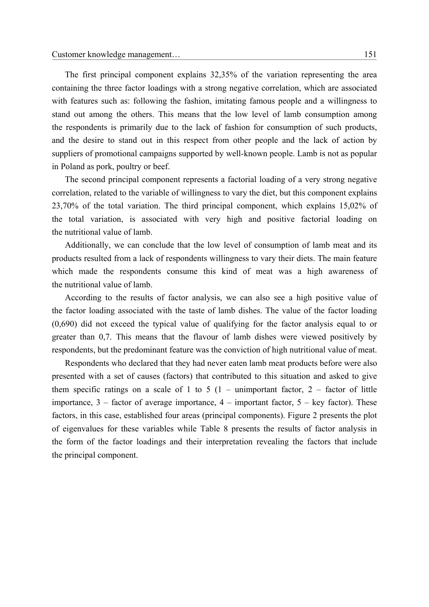The first principal component explains 32,35% of the variation representing the area containing the three factor loadings with a strong negative correlation, which are associated with features such as: following the fashion, imitating famous people and a willingness to stand out among the others. This means that the low level of lamb consumption among the respondents is primarily due to the lack of fashion for consumption of such products, and the desire to stand out in this respect from other people and the lack of action by suppliers of promotional campaigns supported by well-known people. Lamb is not as popular in Poland as pork, poultry or beef.

The second principal component represents a factorial loading of a very strong negative correlation, related to the variable of willingness to vary the diet, but this component explains 23,70% of the total variation. The third principal component, which explains 15,02% of the total variation, is associated with very high and positive factorial loading on the nutritional value of lamb.

Additionally, we can conclude that the low level of consumption of lamb meat and its products resulted from a lack of respondents willingness to vary their diets. The main feature which made the respondents consume this kind of meat was a high awareness of the nutritional value of lamb.

According to the results of factor analysis, we can also see a high positive value of the factor loading associated with the taste of lamb dishes. The value of the factor loading (0,690) did not exceed the typical value of qualifying for the factor analysis equal to or greater than 0,7. This means that the flavour of lamb dishes were viewed positively by respondents, but the predominant feature was the conviction of high nutritional value of meat.

Respondents who declared that they had never eaten lamb meat products before were also presented with a set of causes (factors) that contributed to this situation and asked to give them specific ratings on a scale of 1 to 5  $(1 -$  unimportant factor, 2 – factor of little importance,  $3 -$  factor of average importance,  $4 -$  important factor,  $5 -$  key factor). These factors, in this case, established four areas (principal components). Figure 2 presents the plot of eigenvalues for these variables while Table 8 presents the results of factor analysis in the form of the factor loadings and their interpretation revealing the factors that include the principal component.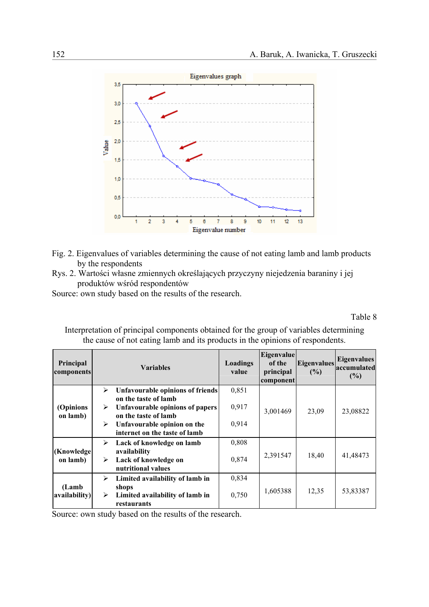

- Fig. 2. Eigenvalues of variables determining the cause of not eating lamb and lamb products by the respondents
- Rys. 2. Wartości własne zmiennych określających przyczyny niejedzenia baraniny i jej produktów wśród respondentów
- Source: own study based on the results of the research.

Table 8

Interpretation of principal components obtained for the group of variables determining the cause of not eating lamb and its products in the opinions of respondents.

| Principal<br>components |                                                                                             | <b>Variables</b>                                             | Loadings<br>value | Eigenvalue<br>of the<br>principal<br>component | <b>Eigenvalues</b><br>(%) | <b>Eigenvalues</b><br>accumulated<br>(%) |
|-------------------------|---------------------------------------------------------------------------------------------|--------------------------------------------------------------|-------------------|------------------------------------------------|---------------------------|------------------------------------------|
|                         | ➤                                                                                           | Unfavourable opinions of friends                             | 0,851             |                                                |                           |                                          |
| (Opinions<br>on lamb)   | on the taste of lamb<br><b>Unfavourable opinions of papers</b><br>➤<br>on the taste of lamb | 0,917                                                        | 3,001469          | 23,09                                          | 23,08822                  |                                          |
|                         | ➤                                                                                           | Unfavourable opinion on the<br>internet on the taste of lamb | 0,914             |                                                |                           |                                          |
|                         | ➤                                                                                           | Lack of knowledge on lamb                                    | 0,808             |                                                |                           |                                          |
| (Knowledge)<br>on lamb) | ➤                                                                                           | availability<br>Lack of knowledge on<br>nutritional values   | 0,874             | 2,391547                                       | 18,40                     | 41,48473                                 |
|                         | ➤                                                                                           | Limited availability of lamb in                              | 0,834             |                                                |                           |                                          |
| (Lamb)<br>availability) | ➤                                                                                           | shops<br>Limited availability of lamb in<br>restaurants      | 0,750             | 1,605388                                       | 12,35                     | 53,83387                                 |

Source: own study based on the results of the research.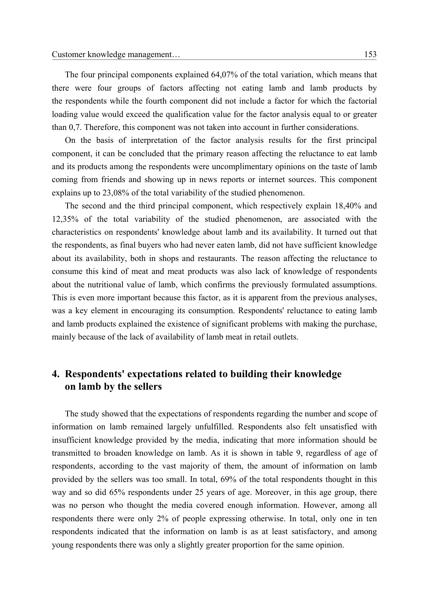The four principal components explained 64,07% of the total variation, which means that there were four groups of factors affecting not eating lamb and lamb products by the respondents while the fourth component did not include a factor for which the factorial loading value would exceed the qualification value for the factor analysis equal to or greater than 0,7. Therefore, this component was not taken into account in further considerations.

On the basis of interpretation of the factor analysis results for the first principal component, it can be concluded that the primary reason affecting the reluctance to eat lamb and its products among the respondents were uncomplimentary opinions on the taste of lamb coming from friends and showing up in news reports or internet sources. This component explains up to 23,08% of the total variability of the studied phenomenon.

The second and the third principal component, which respectively explain 18,40% and 12,35% of the total variability of the studied phenomenon, are associated with the characteristics on respondents' knowledge about lamb and its availability. It turned out that the respondents, as final buyers who had never eaten lamb, did not have sufficient knowledge about its availability, both in shops and restaurants. The reason affecting the reluctance to consume this kind of meat and meat products was also lack of knowledge of respondents about the nutritional value of lamb, which confirms the previously formulated assumptions. This is even more important because this factor, as it is apparent from the previous analyses, was a key element in encouraging its consumption. Respondents' reluctance to eating lamb and lamb products explained the existence of significant problems with making the purchase, mainly because of the lack of availability of lamb meat in retail outlets.

# **4. Respondents' expectations related to building their knowledge on lamb by the sellers**

The study showed that the expectations of respondents regarding the number and scope of information on lamb remained largely unfulfilled. Respondents also felt unsatisfied with insufficient knowledge provided by the media, indicating that more information should be transmitted to broaden knowledge on lamb. As it is shown in table 9, regardless of age of respondents, according to the vast majority of them, the amount of information on lamb provided by the sellers was too small. In total, 69% of the total respondents thought in this way and so did 65% respondents under 25 years of age. Moreover, in this age group, there was no person who thought the media covered enough information. However, among all respondents there were only 2% of people expressing otherwise. In total, only one in ten respondents indicated that the information on lamb is as at least satisfactory, and among young respondents there was only a slightly greater proportion for the same opinion.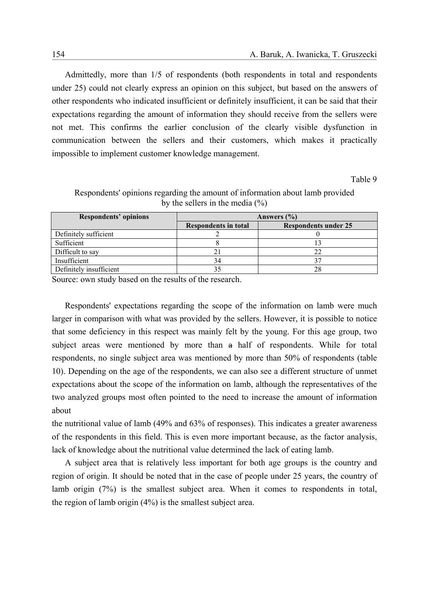Admittedly, more than 1/5 of respondents (both respondents in total and respondents under 25) could not clearly express an opinion on this subject, but based on the answers of other respondents who indicated insufficient or definitely insufficient, it can be said that their expectations regarding the amount of information they should receive from the sellers were not met. This confirms the earlier conclusion of the clearly visible dysfunction in communication between the sellers and their customers, which makes it practically impossible to implement customer knowledge management.

Table 9

| Respondents' opinions   | Answers $(\% )$      |                             |  |  |
|-------------------------|----------------------|-----------------------------|--|--|
|                         | Respondents in total | <b>Respondents under 25</b> |  |  |
| Definitely sufficient   |                      |                             |  |  |
| Sufficient              |                      |                             |  |  |
| Difficult to say        |                      |                             |  |  |
| Insufficient            | 34                   |                             |  |  |
| Definitely insufficient |                      |                             |  |  |

Respondents' opinions regarding the amount of information about lamb provided by the sellers in the media  $(\% )$ 

Source: own study based on the results of the research.

Respondents' expectations regarding the scope of the information on lamb were much larger in comparison with what was provided by the sellers. However, it is possible to notice that some deficiency in this respect was mainly felt by the young. For this age group, two subject areas were mentioned by more than a half of respondents. While for total respondents, no single subject area was mentioned by more than 50% of respondents (table 10). Depending on the age of the respondents, we can also see a different structure of unmet expectations about the scope of the information on lamb, although the representatives of the two analyzed groups most often pointed to the need to increase the amount of information about

the nutritional value of lamb (49% and 63% of responses). This indicates a greater awareness of the respondents in this field. This is even more important because, as the factor analysis, lack of knowledge about the nutritional value determined the lack of eating lamb.

A subject area that is relatively less important for both age groups is the country and region of origin. It should be noted that in the case of people under 25 years, the country of lamb origin (7%) is the smallest subject area. When it comes to respondents in total, the region of lamb origin (4%) is the smallest subject area.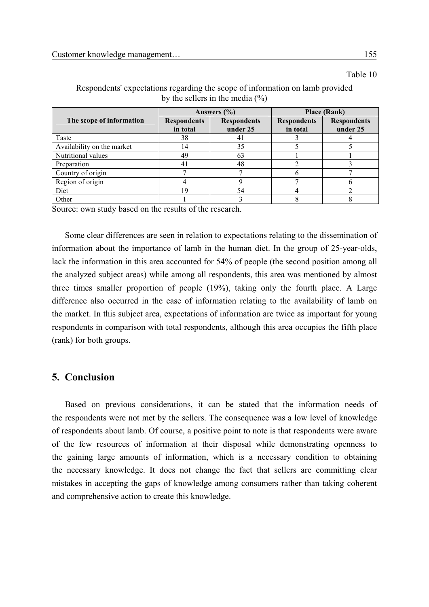Table 10

|                            |                                          | Answers $(\%$ | <b>Place (Rank)</b> |                    |  |
|----------------------------|------------------------------------------|---------------|---------------------|--------------------|--|
| The scope of information   | <b>Respondents</b><br><b>Respondents</b> |               | <b>Respondents</b>  | <b>Respondents</b> |  |
|                            | in total                                 | under 25      | in total            | under 25           |  |
| Taste                      | 38                                       | 41            |                     |                    |  |
| Availability on the market | 14                                       | 35            |                     |                    |  |
| Nutritional values         | 49                                       | 63            |                     |                    |  |
| Preparation                | 41                                       | 48            |                     |                    |  |
| Country of origin          |                                          |               |                     |                    |  |
| Region of origin           |                                          |               |                     |                    |  |
| Diet                       | 19                                       | 54            |                     |                    |  |
| Other                      |                                          |               |                     |                    |  |

Respondents' expectations regarding the scope of information on lamb provided by the sellers in the media  $(\% )$ 

Source: own study based on the results of the research.

Some clear differences are seen in relation to expectations relating to the dissemination of information about the importance of lamb in the human diet. In the group of 25-year-olds, lack the information in this area accounted for 54% of people (the second position among all the analyzed subject areas) while among all respondents, this area was mentioned by almost three times smaller proportion of people (19%), taking only the fourth place. A Large difference also occurred in the case of information relating to the availability of lamb on the market. In this subject area, expectations of information are twice as important for young respondents in comparison with total respondents, although this area occupies the fifth place (rank) for both groups.

## **5. Conclusion**

Based on previous considerations, it can be stated that the information needs of the respondents were not met by the sellers. The consequence was a low level of knowledge of respondents about lamb. Of course, a positive point to note is that respondents were aware of the few resources of information at their disposal while demonstrating openness to the gaining large amounts of information, which is a necessary condition to obtaining the necessary knowledge. It does not change the fact that sellers are committing clear mistakes in accepting the gaps of knowledge among consumers rather than taking coherent and comprehensive action to create this knowledge.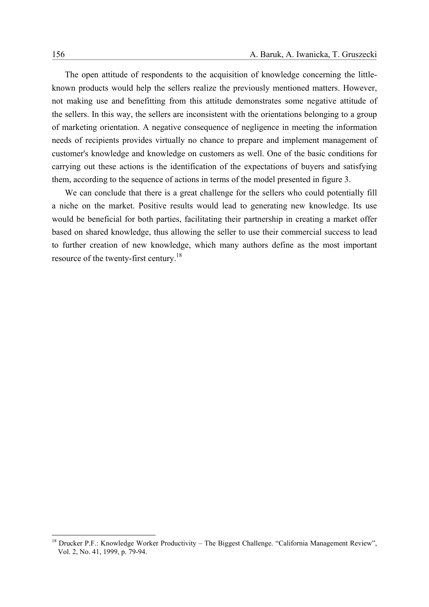The open attitude of respondents to the acquisition of knowledge concerning the littleknown products would help the sellers realize the previously mentioned matters. However, not making use and benefitting from this attitude demonstrates some negative attitude of the sellers. In this way, the sellers are inconsistent with the orientations belonging to a group of marketing orientation. A negative consequence of negligence in meeting the information needs of recipients provides virtually no chance to prepare and implement management of customer's knowledge and knowledge on customers as well. One of the basic conditions for carrying out these actions is the identification of the expectations of buyers and satisfying them, according to the sequence of actions in terms of the model presented in figure 3.

We can conclude that there is a great challenge for the sellers who could potentially fill a niche on the market. Positive results would lead to generating new knowledge. Its use would be beneficial for both parties, facilitating their partnership in creating a market offer based on shared knowledge, thus allowing the seller to use their commercial success to lead to further creation of new knowledge, which many authors define as the most important resource of the twenty-first century.18

<sup>&</sup>lt;sup>18</sup> Drucker P.F.: Knowledge Worker Productivity – The Biggest Challenge. "California Management Review", Vol. 2, No. 41, 1999, p. 79-94.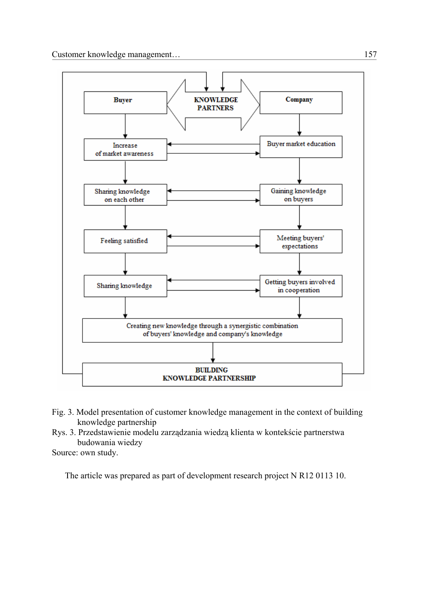

- Fig. 3. Model presentation of customer knowledge management in the context of building knowledge partnership
- Rys. 3. Przedstawienie modelu zarządzania wiedzą klienta w kontekście partnerstwa budowania wiedzy

Source: own study.

The article was prepared as part of development research project N R12 0113 10.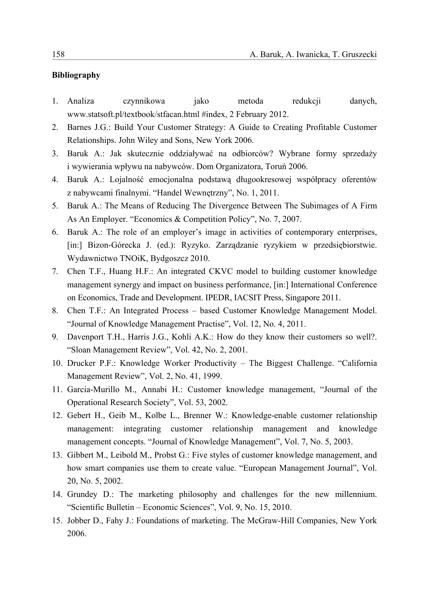## **Bibliography**

- 1. Analiza czynnikowa jako metoda redukcji danych, www.statsoft.pl/textbook/stfacan.html #index, 2 February 2012.
- 2. Barnes J.G.: Build Your Customer Strategy: A Guide to Creating Profitable Customer Relationships. John Wiley and Sons, New York 2006.
- 3. Baruk A.: Jak skutecznie oddziaływać na odbiorców? Wybrane formy sprzedaży i wywierania wpływu na nabywców. Dom Organizatora, Toruń 2006.
- 4. Baruk A.: Lojalność emocjonalna podstawą długookresowej współpracy oferentów z nabywcami finalnymi. "Handel Wewnętrzny", No. 1, 2011.
- 5. Baruk A.: The Means of Reducing The Divergence Between The Subimages of A Firm As An Employer. "Economics & Competition Policy", No. 7, 2007.
- 6. Baruk A.: The role of an employer's image in activities of contemporary enterprises, [in:] Bizon-Górecka J. (ed.): Ryzyko. Zarządzanie ryzykiem w przedsiębiorstwie. Wydawnictwo TNOiK, Bydgoszcz 2010.
- 7. Chen T.F., Huang H.F.: An integrated CKVC model to building customer knowledge management synergy and impact on business performance, [in:] International Conference on Economics, Trade and Development. IPEDR, IACSIT Press, Singapore 2011.
- 8. Chen T.F.: An Integrated Process based Customer Knowledge Management Model. "Journal of Knowledge Management Practise", Vol. 12, No. 4, 2011.
- 9. Davenport T.H., Harris J.G., Kohli A.K.: How do they know their customers so well?. "Sloan Management Review", Vol. 42, No. 2, 2001.
- 10. Drucker P.F.: Knowledge Worker Productivity The Biggest Challenge. "California Management Review", Vol. 2, No. 41, 1999.
- 11. Garcia-Murillo M., Annabi H.: Customer knowledge management, "Journal of the Operational Research Society", Vol. 53, 2002.
- 12. Gebert H., Geib M., Kolbe L., Brenner W.: Knowledge-enable customer relationship management: integrating customer relationship management and knowledge management concepts. "Journal of Knowledge Management", Vol. 7, No. 5, 2003.
- 13. Gibbert M., Leibold M., Probst G.: Five styles of customer knowledge management, and how smart companies use them to create value. "European Management Journal", Vol. 20, No. 5, 2002.
- 14. Grundey D.: The marketing philosophy and challenges for the new millennium. "Scientific Bulletin – Economic Sciences", Vol. 9, No. 15, 2010.
- 15. Jobber D., Fahy J.: Foundations of marketing. The McGraw-Hill Companies, New York 2006.